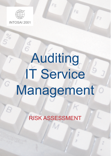

INTOSAI 2001

G

# Auditing IT Service Management

Fs

RISK ASSESSMENT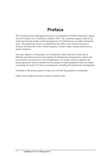# **Preface**

The IT Infrastructure Management Project was initiated by INTOSAI Standing Committee on IT Audit at its 8th meeting in October 1999. The committee stated a need for an audit tool focusing on the overall management of IT infrastructure in public administrations. The project have been co-ordinated by the Office of the Auditor General of Norway with the SAIs of the United Kingdom, Sweden, Japan, Canada and Russia as project members.

The main objective of the project, as in the project charter has been to provide an efficient and effective process for auditing IT infrastructure management, with an aim to be useful at several levels of IT infrastructures. To comply with this objective the project group has found it suitable for this purpose to make guidelines built on a model concerning the audit of IT service management, including IT infrastructure management.

On behalf of the project group we hope you will find the guidelines userfriendly.

Office of the Auditor General of Norway, October 2001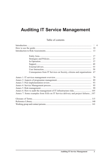# **Auditing IT Service Management**

#### Table of contents

|                                                                                 | 13 |  |
|---------------------------------------------------------------------------------|----|--|
|                                                                                 |    |  |
|                                                                                 | 27 |  |
|                                                                                 |    |  |
|                                                                                 |    |  |
|                                                                                 |    |  |
|                                                                                 | 59 |  |
| Consequenses from IT Services on Society, citizens and organisations            | 67 |  |
|                                                                                 |    |  |
|                                                                                 |    |  |
|                                                                                 |    |  |
|                                                                                 |    |  |
|                                                                                 |    |  |
|                                                                                 |    |  |
| Annex 7: Some examples from SAIs on IT Service delivery and project failures107 |    |  |
|                                                                                 |    |  |
|                                                                                 |    |  |
|                                                                                 |    |  |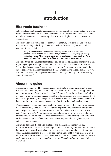# **I Introduction**

## **Electronic business**

Both private and public sector organisations are increasingly exploiting data networks to provide more efficient and customer-focused means of transacting business. This applies not only to inter-business relationships, but also increasingly to business to customer relationships.

The term "electronic commerce" (e-commerce) generally applies to the use of a data network for buying and selling. "Electronic business" (e-business) has much wider meaning. It may be defined as....

> *using a data network to simplify and speed up all stages of the business process. These include, for example, design and manufacturing; buying, selling and delivering; and transacting government business such as applying for a passport, registering a motor vehicle and submitting a tax return.*

The exploitation of e-business technologies can no longer be regarded as merely a means of gaining competitive edge; its effective use in business has become an imperative. The implications are clear. Organisations need to pay far greater attention than in the past to the provision and management of the IT services on which their businesses rely. Without IT services most organisations cannot function; without quality services they cannot function well.

## **About this guide**

Information technology (IT) can significantly contribute to improvements in business effectiveness – *including the business of government* - but it is not always applied in the most appropriate or effective way. It is often difficult to determine which technologies are most relevant to business needs, whilst the full implications and risks associated with the various options may not always be clear. These problems can be made worse where there is a failure to communicate business needs effectively to technical advisors.

What is needed is a common understanding of business needs, of existing processes and the way technology supports them through the organisation together with a migration path designed to move the organisation forwards from where it is to where it wants to be (a "strategic plan"). Promoting a common understanding will involve consultation, defining policies and strategies to meet business needs, communicating them to relevant parties, monitoring their effectiveness and maintaining them in the light of experience and of business change.

This guide describes the policies, strategies and management frameworks that organizations should consider developing to support the delivery of quality IT services to their customers, regardless of whether these are internal or external (e.g. citizens) to the business. It also represents a tool for assisting in the audit of IT service management in public administrations based on risk assessment and risk management principles. *Several audits have attributed one of the main reasons for IT service failure to a lack of risk awareness*.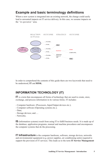## **Example and basic terminology definitions**

Where a new system is integrated into an existing network, the change could easily lead to unwanted impacts on IT service delivery. In this case, we assume impacts on the *"in operation"* area.



In order to comprehend the contents of this guide there are two keywords that need to be understood, **IT** and **RISK.** 

### **INFORMATION TECHNOLOGY (IT)**

**IT** is a term that encompasses all forms of technology that are used to create, store, exchange, and process information in its various forms. IT includes:

- Computer hardware (Processors, Input/Output devices etc.);
- Computer software (Operating systems etc.);
- Data;
- Storage devices; and….
- Networks.

**IS** (information systems) result from using IT to fulfill business needs. It is made up of the database, application programs, manual and machine procedures and encompasses the computer systems that do the processing.

**IT Infrastructure** is the computer hardware, software, storage devices, networks and environmental equipment (e.g. power supplies, air conditioning units) required to support the provision of IT services. This leads us to the term **IT Service Management**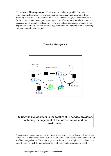**IT Service Management**. IT infrastructure exists to provide IT services that satisfy various business needs and customer requirements. These may range from providing access to a single application, such as a general ledger, to a complex set of facilities that include many applications as well as office automation. The service may be spread across a number of hardware, software, and communication systems. It may be provided internally or by an external organization under the terms of an outsourcing contract, or combination of both.

#### **IT Service Management**



#### *IT Service Management* **is the totality of IT service provision, including management of the infrastructure and the environment**

IT service management covers a wide range of activities. This guide can only cover the subject to the extent necessary to explain the IT service delivery risks that are most likely to affect an organisation. The guide approaches the subject at a high level, and does not cover topics such as Information Security, the Internet and outsourcing in detail.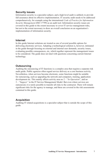#### **Security issues**

Information security is a specialist subject, and a high level audit is unlikely to provide full assurance about its effective implementation. IT security audit needs to be addressed comprehensively, for example using the international *Code of Practice for Information Security Management* (ISO 17799) as an audit tool. Information security issues are covered in this guide to the extent necessary to cover IT service management risks, but not to the extent necessary to draw an overall conclusion on an organisation's implementation of information security.

#### **Internet**

In this guide Internet solutions are treated as one of several possible options for delivering electronic services. Adopting a technological solution is, however, intimated in the guide through focusing on external and internal user demands, security issues, evaluating possible consequences, etc, which together represent the management issues to be considered. The guide does not deal with questions concerning current Internet technology.

#### **Outsourcing**

Auditing the outsourcing of IT functions is a complex area that requires a separate risk audit guide. Public agencies often regard service delivery as a core business activity. Nevertheless, when services become electronic, some functions might be suitable for outsourcing, such as upgrading the network and computers, training, application development etc. This mainly affects activity area no 2 – "*In Operation*", and no 3 – "*Support"* in the IT Service Management Model. But even where services are outsourced, it is rarely possible to transfer all risks to the contractor. There will remain significant risks for the agency to manage, and these are covered in the risk assessments contained in this guide.

#### **Acquisition**

Auditing IT related acquisitions is a specialist subject that is outside the scope of this guide.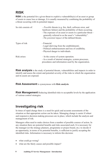## **RISK**

**RISK** is the potential for a given threat to exploit a vulnerability(s) of an asset or group of assets to cause loss or damage. It is usually measured by combining the probability of a threat occurring with its potential impact.

| So risk consists of: | - <i>Possible</i> threats (e.g. fire, theft, software error, and<br>hardware failure) and the probability of them occurring.<br>- The exposure of an asset or assets to a particular threat –<br>generally referred to as the asset's "vulnerability".<br>- The potential impact of the defined threats. |
|----------------------|----------------------------------------------------------------------------------------------------------------------------------------------------------------------------------------------------------------------------------------------------------------------------------------------------------|
| Types of risk        | - Financial.<br>- Legal (deriving from the establishment).<br>- Political embarrassment and loss of credibility.<br>- Physical danger to individuals.                                                                                                                                                    |
| Risk arises:         | - In the course of system operation.<br>- As a result of internal strategies, system processes,<br>procedures and information used by the organization.                                                                                                                                                  |

**Risk analysis** is the study of potential threats, vulnerabilities and impacts in order to identify and assess the extent and potential severity of the risks to which the organization and its assets are exposed.

**Risk Assessment** is synonymous with **Risk analysis**.

**Risk Management** Reducing identified risks to acceptable levels by the application of various control strategies.

## **Investigating risk**

In times of rapid change there is a need for quick and accurate assessments of the situation so that appropriate action can be taken. Managing change is easier if robust and responsive decision-making processes are in place, which include the analysis and management of risk.

Managers often need to make choices from a number of possible courses of action. In any situation there are potential benefits and risks associated each. It is necessary for the manager (or the strategy planners, programme or project board, etc.) to decide if an opportunity, in terms of its potential benefits, is sufficient to justify accepting the identified risks. Information is necessary to inform this decision:

- what could go wrong?
- what are the likely causes and possible impact?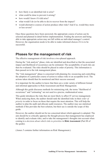- how likely is an identified risk to arise?
- what could be done to prevent it arising?
- how would I know if it did arise?
- what would I do (or be able to do) to recover from the impact?
- would alternative courses of action produce other risks? And if so, would they more or less severe?

Once these questions have been answered, the appropriate course of action can be selected and planned in detail before implementation. Finding the answers and being able to take appropriate action may not fall within an individual manager's control. However, the organisation needs to be able to make informed choices if it is to be successful.

## **Phases for the management of risk**

The effective management of risk involves a two-phased approach.

During the "risk analysis" phase, risks are identified and described so that the associated impact and likelihood of occurrence can be estimated. The acceptability of each risk can then be evaluated. The risks should be placed in order of priority. This information is then passed on to the risk management phase.

The "risk management" phase is concerned with planning for, resourcing and controlling the adoption of a particular course of action to reduce risks to an acceptable level. The actions taken should then be monitored and their success assessed.

It is important for the auditor to know that there are a wide variety of different formal and informal approaches to Risk Assessment and Risk Management.

Although this guide discusses methods for minimizing risk, the terms "likelihood of occurrence" and "estimating" are not used in a precise, mathematical sense.

This guide introduces the risks that are most likely to affect IT service management. When analyzing them, the auditor should rank the identified risks in their *order of priority* in order to focus on those that require the most attention. This will help the auditor to plan the audit and allocate audit resources. The auditor may use statistical methods if this provides the best solution, but their use is outside the scope of this guide.

However, the auditor should not be too concerned about which approach is adopted. The aim should be to critically appraise the thought process that management has employed to identify and evaluate risks, and to take the management's thoughts into account when coming to a *decision about which risks to prioritize* in **Risk Assessment** (Part III of the guide).

(Annex 5 contains further information on Risk Management.)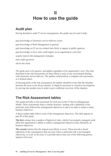# **II How to use the guide**

## **Audit plan**

Having decided to audit IT service management, this guide may be used to help:

gain knowledge of electronic service delivery issues gain knowledge of Risk Management in general gain knowledge on IT service related risks likely to appear in public agencies gain knowledge on how risks could impact on an organisation's activities acquire typical risk management strategies form audit questions advise the client.

The guide aims to be generic, and applies regardless of an organisation's size. The risks described in the risk assessments are those likely to arise in any environment dealing with electronic service delivery. The auditor could perform a complete risk assessment, or a limited subset.

If choosing parts of the risk assessments, the auditor should be aware that the interface between the areas is not always distinct. It might be necessary to extend an investigation by moving into another area in order to get a sufficient overview of the situation.

## **The Risk Assessment tables**

This guide provides a risk assessment for each area in the IT Service Management Model. These assessments share a similar structure, starting with a definition of the particular issue followed by management objectives to aim at in order to achieve stated business objectives.

A three-column table follows each of the management objectives. The table appears in part III of this guide.

The first column lists a number of high-level risks, which if not properly managed could affect the organisation's ability to achieve management objectives and, ultimately, its business objectives.

**The second** column lists the impacts most likely to occur. These provide a broad indication of the consequences that can arise where a particular risk is not managed effectively, or at all. In all cases it is possible that at least one of the following generic impacts will occur: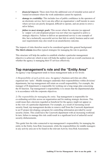- *financial impacts:* These stem from the additional cost of remedial action and of wasted investment where the work undertaken cannot be repaired;
- *damage to credebility:* This includes loss of public confidence in the operators of an electronic service, but it can also affect an organisation`s staff morale in cases where services are poorly designed, difficult to operate, and are prone to error a nd/or failure;
- *failure to meet strategic goals:* This occurs where the outcome (as opposed to `output`) of a development project was not what was reguired to achive a strategic objective. Failure to deliver an operational service is one example of this, but a technically successful service that fails to satisfy business and/or enduser requirements may also result in an unsatisfactory outcome.

The impacts of risks therefore need to be considered against this general background. **The third column** describes typical strategies for managing the risk in question.

This structure will help the auditor to establish whether a particular management objective is achieved, which in turn will help the auditor reach an overall conclusion on whether the agency is managing their IT services effectively.

## **Top management's role and the "Entity Area"**

An agency's top management tends to focus management tasks at two levels:

*1) Responsibility of each activity area*. An agency's business activities are often organised into 'units'. Middle managers undertake their responsibilities within divisions/ departments, but top management still retain an overall responsibility. For example, the manager of IS department is responsible for working out a long-range plan concerning the IS function. Top management's responsibility is to ensure that the departmental plan is in accordance with the corporate objectives.

*2) The responsibility for managing the entity*. Top management is responsible for co-ordinating activities across an organization and for making strategic decisions. This could mean that a decision regarded as beneficial for the agency might not appear so in the view of a particular department. For example, as a result of increasing social security fraud, top management decides to remove staff from the Casework department to an IT project developing a program for controlling information provided by social security clients. This could leave the Casework department with an increasing workload. In turn, failure to manage this risk could result in a signicant level of unlawful social security disbursements.

This guide lists the risks connected to top management's responsibility for managing the entity in the Entity Area Risk Assessment, while the responsibilities for middle managers in any activity area are to be found in the relevant Activity Area Risk Assessment.